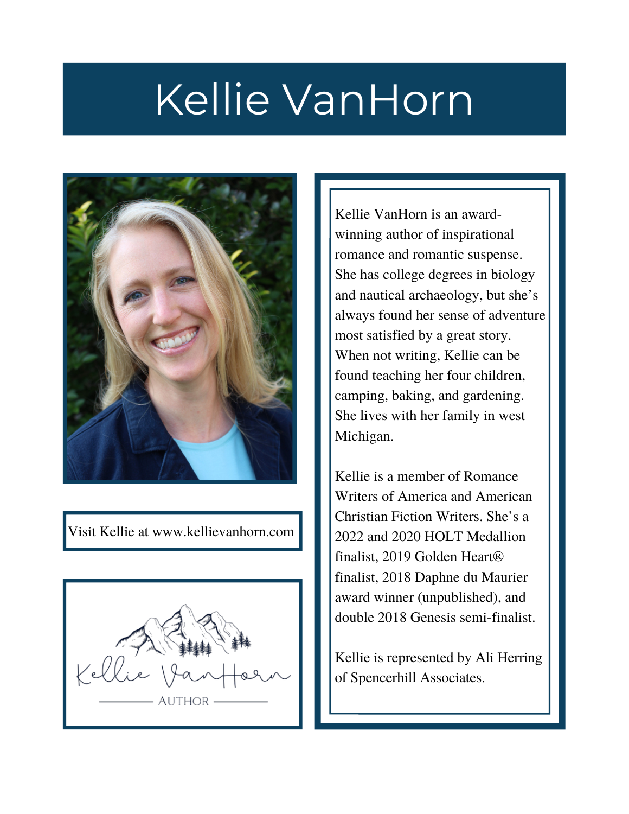## Kellie VanHorn



Visit Kellie at www.kellievanhorn.com



Kellie VanHorn is an awardwinning author of inspirational romance and romantic suspense. She has college degrees in biology and nautical archaeology, but she's always found her sense of adventure most satisfied by a great story. When not writing, Kellie can be found teaching her four children, camping, baking, and gardening. She lives with her family in west Michigan.

Kellie is a member of Romance Writers of America and American Christian Fiction Writers. She's a 2022 and 2020 HOLT Medallion finalist, 2019 Golden Heart® finalist, 2018 Daphne du Maurier award winner (unpublished), and double 2018 Genesis semi-finalist.

Kellie is represented by Ali Herring of Spencerhill Associates.